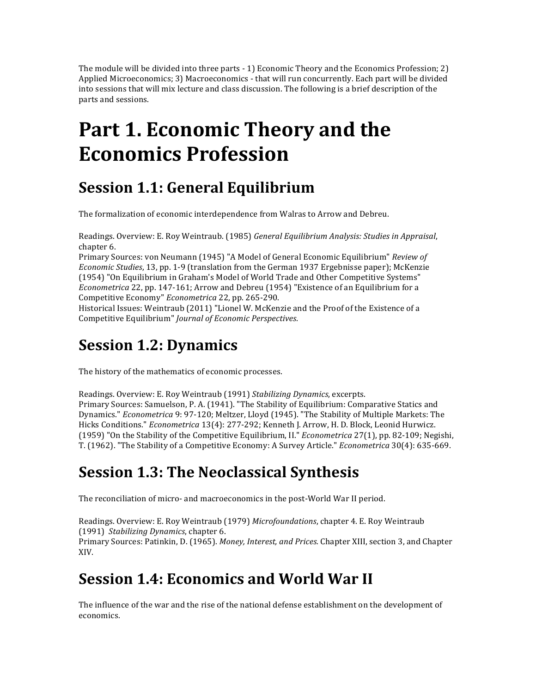The module will be divided into three parts - 1) Economic Theory and the Economics Profession; 2) Applied Microeconomics; 3) Macroeconomics - that will run concurrently. Each part will be divided into sessions that will mix lecture and class discussion. The following is a brief description of the parts and sessions.

# **Part 1. Economic Theory and the Economics(Profession**

# **Session 1.1: General Equilibrium**

The formalization of economic interdependence from Walras to Arrow and Debreu.

Readings. Overview: E. Roy Weintraub. (1985) *General Equilibrium Analysis: Studies in Appraisal*, chapter 6.

Primary Sources: von Neumann (1945) "A Model of General Economic Equilibrium" *Review of Economic Studies*, 13, pp. 1-9 (translation from the German 1937 Ergebnisse paper); McKenzie (1954) "On Equilibrium in Graham's Model of World Trade and Other Competitive Systems" *Econometrica* 22, pp. 147-161; Arrow and Debreu (1954) "Existence of an Equilibrium for a Competitive Economy" *Econometrica* 22, pp. 265-290.

Historical Issues: Weintraub (2011) "Lionel W. McKenzie and the Proof of the Existence of a Competitive Equilibrium" *Journal of Economic Perspectives*.

# **Session 1.2: Dynamics**

The history of the mathematics of economic processes.

Readings. Overview: E. Roy Weintraub (1991) Stabilizing Dynamics, excerpts. Primary Sources: Samuelson, P. A. (1941). "The Stability of Equilibrium: Comparative Statics and Dynamics." *Econometrica* 9: 97-120; Meltzer, Lloyd (1945). "The Stability of Multiple Markets: The Hicks Conditions." *Econometrica* 13(4): 277-292; Kenneth J. Arrow, H. D. Block, Leonid Hurwicz. (1959) "On the Stability of the Competitive Equilibrium, II." *Econometrica* 27(1), pp. 82-109; Negishi, T. (1962). "The Stability of a Competitive Economy: A Survey Article." *Econometrica* 30(4): 635-669.

# **Session 1.3: The Neoclassical Synthesis**

The reconciliation of micro- and macroeconomics in the post-World War II period.

Readings. Overview: E. Roy Weintraub (1979) *Microfoundations*, chapter 4. E. Roy Weintraub (1991) *Stabilizing Dynamics*, chapter 6. Primary Sources: Patinkin, D. (1965). *Money, Interest, and Prices.* Chapter XIII, section 3, and Chapter XIV.

#### **Session 1.4: Economics and World War II**

The influence of the war and the rise of the national defense establishment on the development of economics.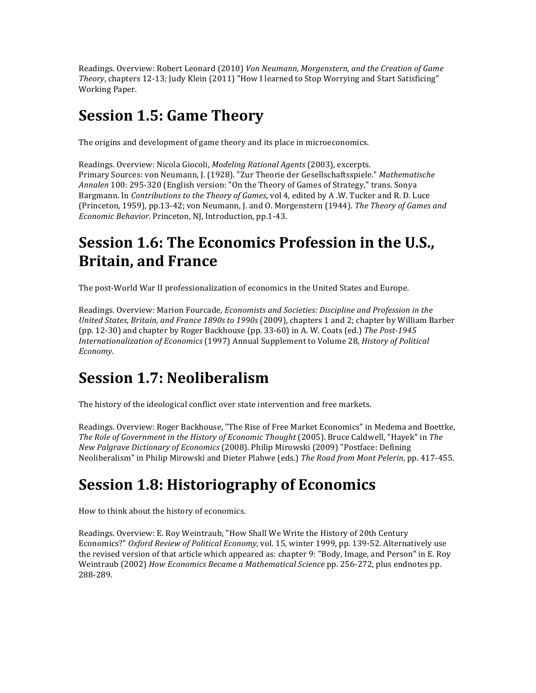Readings. Overview: Robert Leonard (2010) *Von Neumann, Morgenstern, and the Creation of Game Theory*, chapters 12-13; Judy Klein (2011) "How I learned to Stop Worrying and Start Satisficing" Working Paper.

#### **Session 1.5: Game Theory**

The origins and development of game theory and its place in microeconomics.

Readings. Overview: Nicola Giocoli, *Modeling Rational Agents* (2003), excerpts. Primary Sources: von Neumann, J. (1928). "Zur Theorie der Gesellschaftsspiele." Mathematische Annalen 100: 295-320 (English version: "On the Theory of Games of Strategy," trans. Sonya Bargmann. In *Contributions to the Theory of Games*, vol 4, edited by A .W. Tucker and R. D. Luce (Princeton, 1959), pp.13-42; von Neumann, J. and O. Morgenstern (1944). *The Theory of Games and Economic Behavior.* Princeton, NJ, Introduction, pp.1-43.

# **Session 1.6: The Economics Profession in the U.S., Britain,!and!France**

The post-World War II professionalization of economics in the United States and Europe.

Readings. Overview: Marion Fourcade, *Economists and Societies: Discipline and Profession in the United States, Britain, and France 1890s to 1990s (2009), chapters 1 and 2; chapter by William Barber* (pp. 12-30) and chapter by Roger Backhouse (pp. 33-60) in A. W. Coats (ed.) The Post-1945 *Internationalization of Economics* (1997) Annual Supplement to Volume 28, *History of Political Economy*.

# **Session 1.7: Neoliberalism**

The history of the ideological conflict over state intervention and free markets.

Readings. Overview: Roger Backhouse, "The Rise of Free Market Economics" in Medema and Boettke, *The Role of Government in the History of Economic Thought* (2005). Bruce Caldwell, "Hayek" in *The New Palgrave Dictionary of Economics* (2008). Philip Mirowski (2009) "Postface: Defining Neoliberalism" in Philip Mirowski and Dieter Plahwe (eds.) The Road from Mont Pelerin, pp. 417-455.

# **Session 1.8: Historiography of Economics**

How to think about the history of economics.

Readings. Overview: E. Roy Weintraub, "How Shall We Write the History of 20th Century Economics?" Oxford Review of Political Economy, vol. 15, winter 1999, pp. 139-52. Alternatively use the revised version of that article which appeared as: chapter 9: "Body, Image, and Person" in E. Roy Weintraub (2002) *How Economics Became a Mathematical Science* pp. 256-272, plus endnotes pp. 2884289.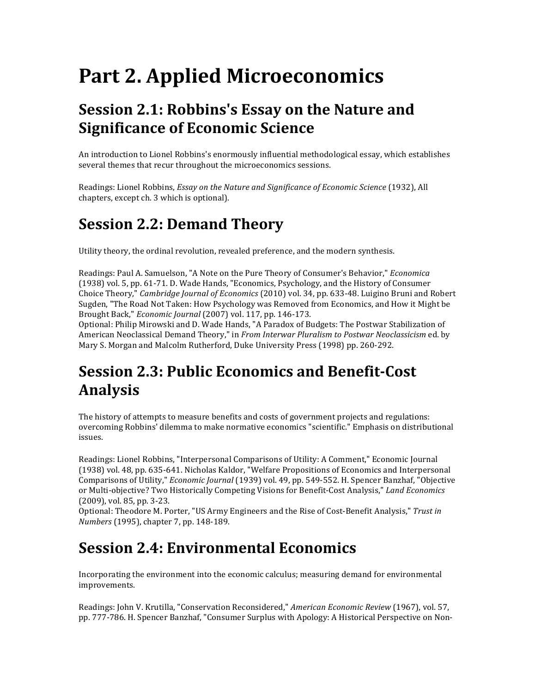# **Part 2. Applied Microeconomics**

#### **Session 2.1: Robbins's Essay on the Nature and Significance of Economic Science**

An introduction to Lionel Robbins's enormously influential methodological essay, which establishes several themes that recur throughout the microeconomics sessions.

Readings: Lionel Robbins, *Essay on the Nature and Significance of Economic Science* (1932), All chapters, except ch. 3 which is optional).

# **Session 2.2: Demand Theory**

Utility theory, the ordinal revolution, revealed preference, and the modern synthesis.

Readings: Paul A. Samuelson, "A Note on the Pure Theory of Consumer's Behavior," *Economica* (1938) vol. 5, pp. 61-71. D. Wade Hands, "Economics, Psychology, and the History of Consumer Choice Theory," *Cambridge Journal of Economics* (2010) vol. 34, pp. 633-48. Luigino Bruni and Robert Sugden, "The Road Not Taken: How Psychology was Removed from Economics, and How it Might be Brought Back," *Economic Journal* (2007) vol. 117, pp. 146-173.

Optional: Philip Mirowski and D. Wade Hands, "A Paradox of Budgets: The Postwar Stabilization of American Neoclassical Demand Theory," in *From Interwar Pluralism to Postwar Neoclassicism* ed. by Mary S. Morgan and Malcolm Rutherford, Duke University Press (1998) pp. 260-292.

# **Session 2.3: Public Economics and Benefit-Cost Analysis**

The history of attempts to measure benefits and costs of government projects and regulations: overcoming Robbins' dilemma to make normative economics "scientific." Emphasis on distributional issues.

Readings: Lionel Robbins, "Interpersonal Comparisons of Utility: A Comment," Economic Journal (1938) vol. 48, pp. 635-641. Nicholas Kaldor, "Welfare Propositions of Economics and Interpersonal Comparisons of Utility," *Economic Journal* (1939) vol. 49, pp. 549-552. H. Spencer Banzhaf, "Objective" or Multi-objective? Two Historically Competing Visions for Benefit-Cost Analysis," Land Economics  $(2009)$ , vol. 85, pp. 3-23.

Optional: Theodore M. Porter, "US Army Engineers and the Rise of Cost-Benefit Analysis," Trust in *Numbers* (1995), chapter 7, pp. 148-189.

# **Session 2.4: Environmental Economics**

Incorporating the environment into the economic calculus; measuring demand for environmental improvements.

Readings: John V. Krutilla, "Conservation Reconsidered," American Economic Review (1967), vol. 57, pp. 777-786. H. Spencer Banzhaf, "Consumer Surplus with Apology: A Historical Perspective on Non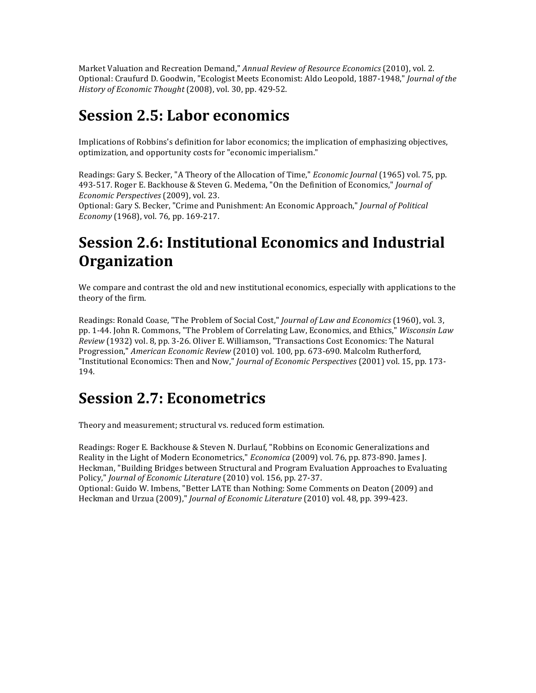Market Valuation and Recreation Demand," *Annual Review of Resource Economics* (2010), vol. 2. Optional: Craufurd D. Goodwin, "Ecologist Meets Economist: Aldo Leopold, 1887-1948," *Journal of the History of Economic Thought* (2008), vol. 30, pp. 429-52.

#### **Session 2.5: Labor economics**

Implications of Robbins's definition for labor economics; the implication of emphasizing objectives, optimization, and opportunity costs for "economic imperialism."

Readings: Gary S. Becker, "A Theory of the Allocation of Time," *Economic Journal* (1965) vol. 75, pp. 493-517. Roger E. Backhouse & Steven G. Medema, "On the Definition of Economics," *Journal of Economic Perspectives* (2009), vol. 23.

Optional: Gary S. Becker, "Crime and Punishment: An Economic Approach," *Journal of Political Economy* (1968), vol. 76, pp. 169-217.

# **Session 2.6: Institutional Economics and Industrial Organization**

We compare and contrast the old and new institutional economics, especially with applications to the theory of the firm.

Readings: Ronald Coase, "The Problem of Social Cost," *Journal of Law and Economics* (1960), vol. 3, pp. 1-44. John R. Commons, "The Problem of Correlating Law, Economics, and Ethics," *Wisconsin Law Review* (1932) vol. 8, pp. 3-26. Oliver E. Williamson, "Transactions Cost Economics: The Natural Progression," *American Economic Review* (2010) vol. 100, pp. 673-690. Malcolm Rutherford, "Institutional Economics: Then and Now," *Journal of Economic Perspectives* (2001) vol. 15, pp. 173-194.

#### **Session 2.7: Econometrics**

Theory and measurement; structural vs. reduced form estimation.

Readings: Roger E. Backhouse & Steven N. Durlauf, "Robbins on Economic Generalizations and Reality in the Light of Modern Econometrics," *Economica* (2009) vol. 76, pp. 873-890. James J. Heckman, "Building Bridges between Structural and Program Evaluation Approaches to Evaluating Policy," *Journal of Economic Literature* (2010) vol. 156, pp. 27-37. Optional: Guido W. Imbens, "Better LATE than Nothing: Some Comments on Deaton (2009) and Heckman and Urzua (2009)," *Journal of Economic Literature* (2010) vol. 48, pp. 399-423.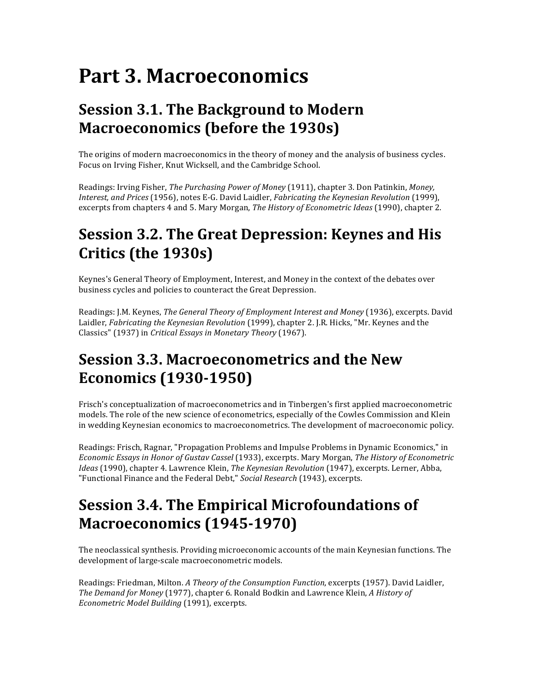# Part 3. Macroeconomics

#### **Session 3.1. The Background to Modern Macroeconomics (before the 1930s)**

The origins of modern macroeconomics in the theory of money and the analysis of business cycles. Focus on Irving Fisher, Knut Wicksell, and the Cambridge School.

Readings: Irving Fisher, *The Purchasing Power of Money* (1911), chapter 3. Don Patinkin, Money, *Interest, and Prices* (1956), notes E-G. David Laidler, *Fabricating the Keynesian Revolution* (1999), excerpts from chapters 4 and 5. Mary Morgan, *The History of Econometric Ideas* (1990), chapter 2.

# **Session 3.2. The Great Depression: Keynes and His Critics!(the!1930s)**

Keynes's General Theory of Employment, Interest, and Money in the context of the debates over business cycles and policies to counteract the Great Depression.

Readings: J.M. Keynes, *The General Theory of Employment Interest and Money* (1936), excerpts. David Laidler, Fabricating the Keynesian Revolution (1999), chapter 2. J.R. Hicks, "Mr. Keynes and the Classics" (1937) in *Critical Essays in Monetary Theory* (1967).

#### **Session 3.3. Macroeconometrics and the New! Economics (1930-1950)**

Frisch's conceptualization of macroeconometrics and in Tinbergen's first applied macroeconometric models. The role of the new science of econometrics, especially of the Cowles Commission and Klein in wedding Keynesian economics to macroeconometrics. The development of macroeconomic policy.

Readings: Frisch, Ragnar, "Propagation Problems and Impulse Problems in Dynamic Economics," in *Economic'Essays'in'Honor of'Gustav'Cassel* (1933),\$excerpts.\$Mary\$Morgan,\$*The'History'of'Econometric' Ideas* (1990), chapter 4. Lawrence Klein, *The Keynesian Revolution* (1947), excerpts. Lerner, Abba, "Functional Finance and the Federal Debt," Social Research (1943), excerpts.

#### **Session 3.4. The Empirical Microfoundations of Macroeconomics (1945-1970)**

The neoclassical synthesis. Providing microeconomic accounts of the main Keynesian functions. The development of large-scale macroeconometric models.

Readings: Friedman, Milton. *A Theory of the Consumption Function*, excerpts (1957). David Laidler, *The Demand for Money* (1977), chapter 6. Ronald Bodkin and Lawrence Klein, *A History of* Econometric Model Building (1991), excerpts.